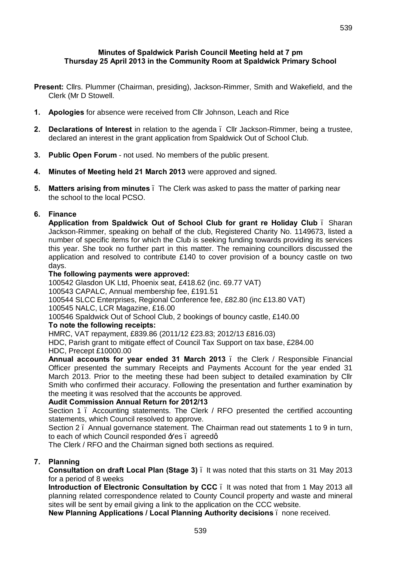- **Present:** Cllrs. Plummer (Chairman, presiding), Jackson-Rimmer, Smith and Wakefield, and the Clerk (Mr D Stowell.
- **1. Apologies** for absence were received from Cllr Johnson, Leach and Rice
- **2. Declarations of Interest** in relation to the agenda Cllr Jackson-Rimmer, being a trustee, declared an interest in the grant application from Spaldwick Out of School Club.
- **3. Public Open Forum** not used. No members of the public present.
- **4. Minutes of Meeting held 21 March 2013** were approved and signed.
- **5. Matters arising from minutes** The Clerk was asked to pass the matter of parking near the school to the local PCSO.

## **6. Finance**

**Application from Spaldwick Out of School Club for grant re Holiday Club** – Sharan Jackson-Rimmer, speaking on behalf of the club, Registered Charity No. 1149673, listed a number of specific items for which the Club is seeking funding towards providing its services this year. She took no further part in this matter. The remaining councillors discussed the application and resolved to contribute £140 to cover provision of a bouncy castle on two days.

#### **The following payments were approved:**

100542 Glasdon UK Ltd, Phoenix seat, £418.62 (inc. 69.77 VAT)

100543 CAPALC, Annual membership fee, £191.51

100544 SLCC Enterprises, Regional Conference fee, £82.80 (inc £13.80 VAT)

100545 NALC, LCR Magazine, £16.00

100546 Spaldwick Out of School Club, 2 bookings of bouncy castle, £140.00

## **To note the following receipts:**

HMRC, VAT repayment, £839.86 (2011/12 £23.83; 2012/13 £816.03)

HDC, Parish grant to mitigate effect of Council Tax Support on tax base, £284.00 HDC, Precept £10000.00

**Annual accounts for year ended 31 March 2013** – the Clerk / Responsible Financial Officer presented the summary Receipts and Payments Account for the year ended 31 March 2013. Prior to the meeting these had been subject to detailed examination by Cllr Smith who confirmed their accuracy. Following the presentation and further examination by the meeting it was resolved that the accounts be approved.

## **Audit Commission Annual Return for 2012/13**

Section 1 – Accounting statements. The Clerk / RFO presented the certified accounting statements, which Council resolved to approve.

Section 2 – Annual governance statement. The Chairman read out statements 1 to 9 in turn, to each of which Council responded  $\angle$  Yes . agreedg.

The Clerk / RFO and the Chairman signed both sections as required.

# **7. Planning**

**Consultation on draft Local Plan (Stage 3)** – It was noted that this starts on 31 May 2013 for a period of 8 weeks

**Introduction of Electronic Consultation by CCC** – It was noted that from 1 May 2013 all planning related correspondence related to County Council property and waste and mineral sites will be sent by email giving a link to the application on the CCC website.

**New Planning Applications / Local Planning Authority decisions** – none received.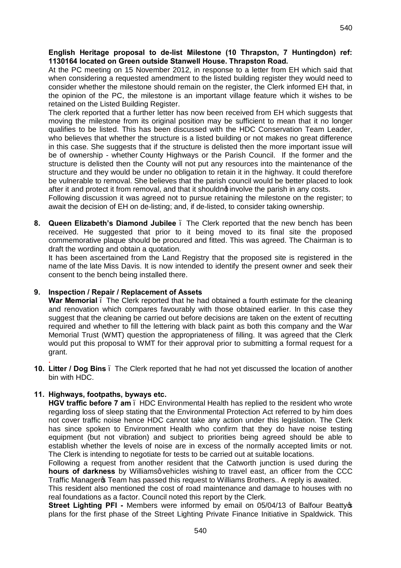### **English Heritage proposal to de-list Milestone (10 Thrapston, 7 Huntingdon) ref: 1130164 located on Green outside Stanwell House. Thrapston Road.**

At the PC meeting on 15 November 2012, in response to a letter from EH which said that when considering a requested amendment to the listed building register they would need to consider whether the milestone should remain on the register, the Clerk informed EH that, in the opinion of the PC, the milestone is an important village feature which it wishes to be retained on the Listed Building Register.

The clerk reported that a further letter has now been received from EH which suggests that moving the milestone from its original position may be sufficient to mean that it no longer qualifies to be listed. This has been discussed with the HDC Conservation Team Leader, who believes that whether the structure is a listed building or not makes no great difference in this case. She suggests that if the structure is delisted then the more important issue will be of ownership - whether County Highways or the Parish Council. If the former and the structure is delisted then the County will not put any resources into the maintenance of the structure and they would be under no obligation to retain it in the highway. It could therefore be vulnerable to removal. She believes that the parish council would be better placed to look after it and protect it from removal, and that it shouldnot involve the parish in any costs.

Following discussion it was agreed not to pursue retaining the milestone on the register; to await the decision of EH on de-listing; and, if de-listed, to consider taking ownership.

**8. Queen Elizabeth's Diamond Jubilee** – The Clerk reported that the new bench has been received. He suggested that prior to it being moved to its final site the proposed commemorative plaque should be procured and fitted. This was agreed. The Chairman is to draft the wording and obtain a quotation.

It has been ascertained from the Land Registry that the proposed site is registered in the name of the late Miss Davis. It is now intended to identify the present owner and seek their consent to the bench being installed there.

## **9. Inspection / Repair / Replacement of Assets**

**War Memorial** – The Clerk reported that he had obtained a fourth estimate for the cleaning and renovation which compares favourably with those obtained earlier. In this case they suggest that the cleaning be carried out before decisions are taken on the extent of recutting required and whether to fill the lettering with black paint as both this company and the War Memorial Trust (WMT) question the appropriateness of filling. It was agreed that the Clerk would put this proposal to WMT for their approval prior to submitting a formal request for a grant.

**. 10. Litter / Dog Bins** – The Clerk reported that he had not yet discussed the location of another bin with HDC.

## **11. Highways, footpaths, byways etc.**

**HGV traffic before 7 am** – HDC Environmental Health has replied to the resident who wrote regarding loss of sleep stating that the Environmental Protection Act referred to by him does not cover traffic noise hence HDC cannot take any action under this legislation. The Clerk has since spoken to Environment Health who confirm that they do have noise testing equipment (but not vibration) and subject to priorities being agreed should be able to establish whether the levels of noise are in excess of the normally accepted limits or not. The Clerk is intending to negotiate for tests to be carried out at suitable locations.

Following a request from another resident that the Catworth junction is used during the **hours of darkness** by Williamsg vehicles wishing to travel east, an officer from the CCC Traffic Manager Team has passed this request to Williams Brothers.. A reply is awaited.

This resident also mentioned the cost of road maintenance and damage to houses with no real foundations as a factor. Council noted this report by the Clerk.

**Street Lighting PFI** - Members were informed by email on 05/04/13 of Balfour Beatty  $\phi$ plans for the first phase of the Street Lighting Private Finance Initiative in Spaldwick. This